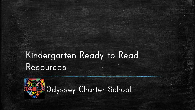# Kindergarten Ready to Read Resources

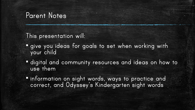#### Parent Notes

This presentation will:

- **"** give you ideas for goals to set when working with your child
- digital and community resources and ideas on how to use them
- information on sight words, ways to practice and correct, and Odyssey's Kindergarten sight words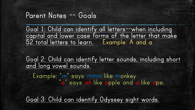#### Parent Notes -- Goals

Goal 1: Child can identify all letters-when including capital and lower case forms of the letter that make 52 total letters to learn. Example: A and a

Goal 2: Child can identify letter sounds, including short and long vowel sounds.

Example: "m" says mmm like monkey "a" say's *ah* like apple and *a* like ape.

Goal 3: Child can identify Odyssey sight words.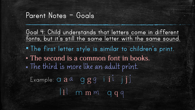### Parent Notes – Goals

Goal 4: Child understands that letters come in different fonts, but it's still the same letter with the same sound. ▪ The first letter style is similar to children's print. - The second is a common font in books. ▪ The third is more like an adult print. Example:  $\alpha$  a  $\alpha$  g  $\alpha$  g  $g$  i ii j j j l l m m m q q q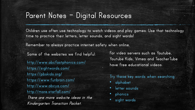#### Parent Notes – Digital Resources

Children use often use technology to watch videos and play games. Use that technology time to practice their letters, letter sounds, and sight words!

Remember to always practice internet safety when online.

Some of the websites we find helpful:

<http://www.abcfastphonics.com/> https://sightwords.com/ <https://pbskids.org/> <https://www.funbrain.com/> <http://www.abcya.com/> <http://more.starfall.com/> There are more website ideas in the Kindergarten Transition Packet.

For video servers such as Youtube, Youtube Kids, Vimeo and TeacherTube have free educational videos.

Try these key words when searching:

- alphabet
- letter sounds
- phonics
- sight words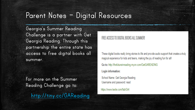# Parent Notes – Digital Resources

Georgia's Summer Reading Challenge is a partner with Get Georgia Reading. Through this partnership the entire state has access to free digital books all summer.

For more on the Summer Reading Challenge go to: http://tiny.cc/GAReading

#### FREE ACCESS TO DIGITAL BOOKS ALL SUMMER!

These digital books really bring stories to life and provide audio support that creates a truly magical experience for kids and teens, making the joy of reading fun for all!

Go to: http://thefutureinreading.myon.com/GetGAREADING

Login information:

School Name: Get Georgia Reading Username and password: read

https://www.lexile.com/fab/GA/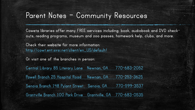# Parent Notes – Community Resources

Coweta libraries offer many FREE services including: book, audiobook and DVD checkouts, reading programs, museum and zoo passes, homework help, clubs, and more.

Check their website for more information: [http://cowt.ent.sirsi.net/client/en\\_US/default/](http://www.abcfastphonics.com/) 

Or visit one of the branches in person:

[Central Library 85 Literary Lane Newnan, GA 770-683-2052](http://www.abcfastphonics.com/) [Powell Branch 25 Hospital Road Newnan, GA 770-253-3625](http://www.abcfastphonics.com/) Senoia Branch 148 Pylant [Street Senoia, GA 770-599-3537](http://www.abcfastphonics.com/) [Grantville Branch 100 Park Drive Grantville, GA 770-683-0535](http://www.abcfastphonics.com/)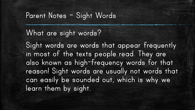### Parent Notes – Sight Words

### What are sight words?

Sight words are words that appear frequently in most of the texts people read. They are also known as high-frequency words for that reason! Sight words are usually not words that can easily be sounded out, which is why we learn them by sight.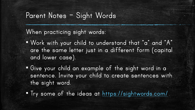# Parent Notes – Sight Words

When practicing sight words:

- Work with your child to understand that "a" and "A" are the same letter just in a different form (capital and lower case).
- Give your child an example of the sight word in a sentence. Invite your child to create sentences with the sight word.
- Try some of the ideas at <https://sightwords.com/>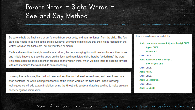# Parent Notes – Sight Words – See and Say Method

Be sure to hold the flash card at arm's length from your body, and at arm's length from the child. The flash card also needs to be held at the child's eye level. We want to make sure that the child is focused on the written word on the flash card, not on your face or mouth.

Each and every time the sight word is read aloud, the person saying it should use two fingers, their index and middle fingers, to trace the arrow on the flash card from left to right, thereby "underlining" the word. This helps keep the child's attention focused on the written word, which will help them to become familiar with and memorize the word and its correct spelling.

By using this technique, the child will hear and say the word at least seven times, and hear it used in a short sentence, all while looking intentionally at the written word on the flash card. In the following techniques we will add extra stimulation, using the kinesthetic sense and adding spelling to make an even deeper cognitive impression.

Here is a sample script for you to follow: Adult: Let's learn a new word. My turn. Ready? ONCE. Again: ONCE. What word? Child: ONCE. Adult: Yes! I ONCE was a little girl. Now it's your turn. Child: ONCE. Adult: Again. Child: ONCE. Adult: One more time. Child: ONCE. Adult: Good job!

More information can be found at https://sightwords.com/sight-words/lessons/see-say/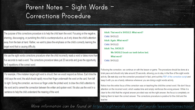# Parent Notes – Sight Words – Corrections Procedure

The purpose of this corrections procedure is to help the child learn the word. Focusing on the negative, shaming, discouraging, or punishing the child is counterproductive, as it only draws the child's attention away from the task at hand. Rather, we want to place the emphasis on the child's correctly learning the target word that is causing difficulty.

We use the sight words corrections procedure when the child incorrectly reads a word or takes more than five seconds to read a word. The corrections procedure takes just 20 seconds and gives the opportunity for 6 repetitions of the correct word:

For example, if the mistaken target sight word is should, then we would respond as follows. Each time the child says the word, the adult should rapidly move their finger underneath the word on the card, from left to right. During the correction, we move our finger under the printed word, to draw the child's attention to the word and to cement the connection between the written and spoken word. We also use the word in a sentence to help the child understand the meaning of the word.

Adult: That word is SHOULD. What word? Child: SHOULD. Adult: Again. What word? Child: SHOULD. Adult: Yes, SHOULD! We SHOULD brush our teeth before bed. What word? Child: SHOULD.

Following the correction, we continue on with the lesson or game. The procedure should be done at a brisk pace and should only take around 20 seconds, allowing you to stay in the flow of the sight words activity. Do not skip over the correction procedure! In fact, print out this PDF of the correction script and keep it with you as a handy reference whenever you are doing a sight words activity.

Notice how the entire focus of the correction was on teaching the child the correct word. We don't focus attention on the incorrect word, which wastes time and simply reinforces the wrong answer. While it is clear to the child that the original answer provided was not the right answer, the focus is completely on helping them to learn the correct answer. The corrections procedure is positive for the child and the teacher.

More information can be found at https://sightwords.com/sight-words/lessons/corrections/